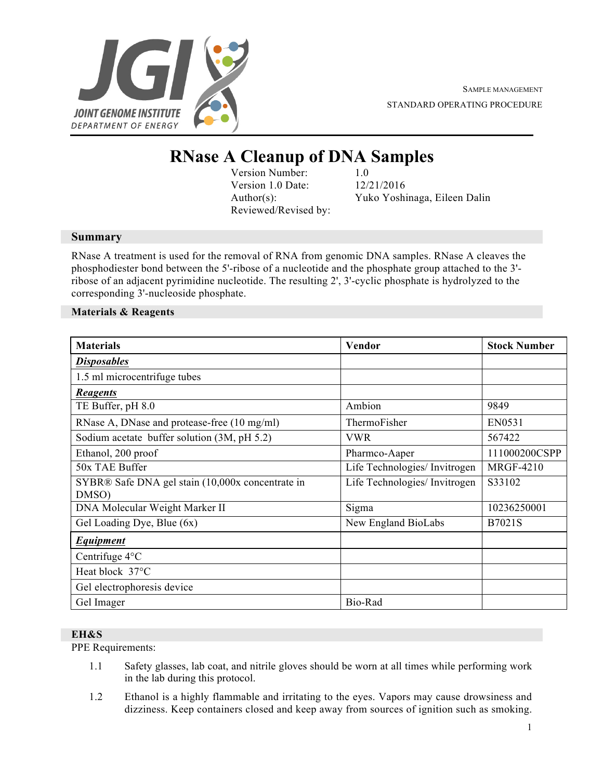

# **RNase A Cleanup of DNA Samples**

Version Number: 1.0 Version 1.0 Date: 12/21/2016 Reviewed/Revised by:

Author(s): Yuko Yoshinaga, Eileen Dalin

## **Summary**

RNase A treatment is used for the removal of RNA from genomic DNA samples. RNase A cleaves the phosphodiester bond between the 5'-ribose of a nucleotide and the phosphate group attached to the 3' ribose of an adjacent pyrimidine nucleotide. The resulting 2', 3'-cyclic phosphate is hydrolyzed to the corresponding 3'-nucleoside phosphate.

### **Materials & Reagents**

| <b>Materials</b>                                          | Vendor                        | <b>Stock Number</b> |
|-----------------------------------------------------------|-------------------------------|---------------------|
| <b>Disposables</b>                                        |                               |                     |
| 1.5 ml microcentrifuge tubes                              |                               |                     |
| <b>Reagents</b>                                           |                               |                     |
| TE Buffer, pH 8.0                                         | Ambion                        | 9849                |
| RNase A, DNase and protease-free (10 mg/ml)               | ThermoFisher                  | EN0531              |
| Sodium acetate buffer solution (3M, pH 5.2)               | <b>VWR</b>                    | 567422              |
| Ethanol, 200 proof                                        | Pharmco-Aaper                 | 111000200CSPP       |
| 50x TAE Buffer                                            | Life Technologies/ Invitrogen | <b>MRGF-4210</b>    |
| SYBR® Safe DNA gel stain (10,000x concentrate in<br>DMSO) | Life Technologies/ Invitrogen | S33102              |
| DNA Molecular Weight Marker II                            | Sigma                         | 10236250001         |
| Gel Loading Dye, Blue (6x)                                | New England BioLabs           | B7021S              |
| Equipment                                                 |                               |                     |
| Centrifuge 4°C                                            |                               |                     |
| Heat block 37°C                                           |                               |                     |
| Gel electrophoresis device                                |                               |                     |
| Gel Imager                                                | Bio-Rad                       |                     |

# **EH&S**

PPE Requirements:

- 1.1 Safety glasses, lab coat, and nitrile gloves should be worn at all times while performing work in the lab during this protocol.
- 1.2 Ethanol is a highly flammable and irritating to the eyes. Vapors may cause drowsiness and dizziness. Keep containers closed and keep away from sources of ignition such as smoking.